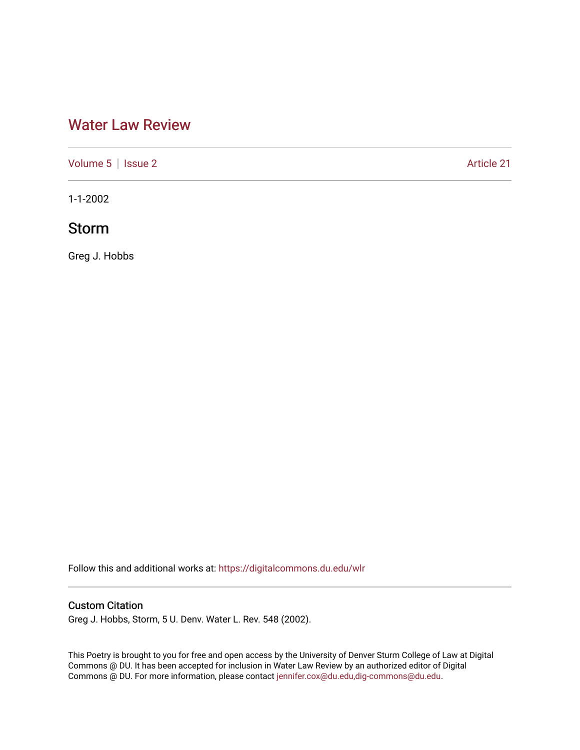# [Water Law Review](https://digitalcommons.du.edu/wlr)

[Volume 5](https://digitalcommons.du.edu/wlr/vol5) | [Issue 2](https://digitalcommons.du.edu/wlr/vol5/iss2) Article 21

1-1-2002

## Storm

Greg J. Hobbs

Follow this and additional works at: [https://digitalcommons.du.edu/wlr](https://digitalcommons.du.edu/wlr?utm_source=digitalcommons.du.edu%2Fwlr%2Fvol5%2Fiss2%2F21&utm_medium=PDF&utm_campaign=PDFCoverPages) 

## Custom Citation

Greg J. Hobbs, Storm, 5 U. Denv. Water L. Rev. 548 (2002).

This Poetry is brought to you for free and open access by the University of Denver Sturm College of Law at Digital Commons @ DU. It has been accepted for inclusion in Water Law Review by an authorized editor of Digital Commons @ DU. For more information, please contact [jennifer.cox@du.edu,dig-commons@du.edu.](mailto:jennifer.cox@du.edu,dig-commons@du.edu)